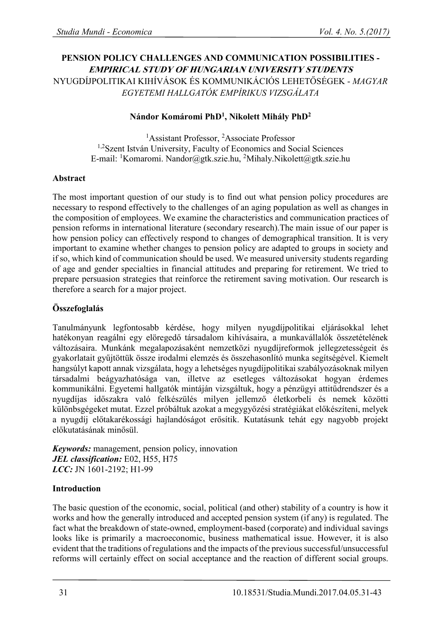# **PENSION POLICY CHALLENGES AND COMMUNICATION POSSIBILITIES - EMPIRICAL STUDY OF HUNGARIAN UNIVERSITY STUDENTS**  NYUGDÍJPOLITIKAI KIHÍVÁSOK ÉS KOMMUNIKÁCIÓS LEHETŐSÉGEK - *MAGYAR EGYETEMI HALLGATÓK EMPÍRIKUS VIZSGÁLATA*

### **Nándor Komáromi PhD<sup>1</sup> , Nikolett Mihály PhD<sup>2</sup>**

<sup>1</sup>Assistant Professor, <sup>2</sup>Associate Professor <sup>1,2</sup>Szent István University, Faculty of Economics and Social Sciences E-mail: <sup>1</sup>Komaromi. Nandor@gtk.szie.hu, <sup>2</sup>Mihaly.Nikolett@gtk.szie.hu

#### **Abstract**

The most important question of our study is to find out what pension policy procedures are necessary to respond effectively to the challenges of an aging population as well as changes in the composition of employees. We examine the characteristics and communication practices of pension reforms in international literature (secondary research).The main issue of our paper is how pension policy can effectively respond to changes of demographical transition. It is very important to examine whether changes to pension policy are adapted to groups in society and if so, which kind of communication should be used. We measured university students regarding of age and gender specialties in financial attitudes and preparing for retirement. We tried to prepare persuasion strategies that reinforce the retirement saving motivation. Our research is therefore a search for a major project.

# **Összefoglalás**

Tanulmányunk legfontosabb kérdése, hogy milyen nyugdíjpolitikai eljárásokkal lehet hatékonyan reagálni egy elöregedő társadalom kihívásaira, a munkavállalók összetételének változásaira. Munkánk megalapozásaként nemzetközi nyugdíjreformok jellegzetességeit és gyakorlatait gyűjtöttük össze irodalmi elemzés és összehasonlító munka segítségével. Kiemelt hangsúlyt kapott annak vizsgálata, hogy a lehetséges nyugdíjpolitikai szabályozásoknak milyen társadalmi beágyazhatósága van, illetve az esetleges változásokat hogyan érdemes kommunikálni. Egyetemi hallgatók mintáján vizsgáltuk, hogy a pénzügyi attitűdrendszer és a nyugdíjas időszakra való felkészülés milyen jellemző életkorbeli és nemek közötti különbsgégeket mutat. Ezzel próbáltuk azokat a megygyőzési stratégiákat előkészíteni, melyek a nyugdíj előtakarékossági hajlandóságot erősítik. Kutatásunk tehát egy nagyobb projekt előkutatásának minősül.

*Keywords:* management, pension policy, innovation *JEL classification:* E02, H55, H75 *LCC:* JN 1601-2192; H1-99

# **Introduction**

The basic question of the economic, social, political (and other) stability of a country is how it works and how the generally introduced and accepted pension system (if any) is regulated. The fact what the breakdown of state-owned, employment-based (corporate) and individual savings looks like is primarily a macroeconomic, business mathematical issue. However, it is also evident that the traditions of regulations and the impacts of the previous successful/unsuccessful reforms will certainly effect on social acceptance and the reaction of different social groups.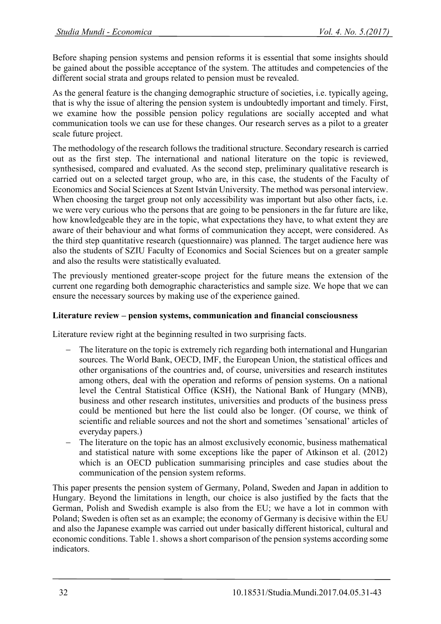Before shaping pension systems and pension reforms it is essential that some insights should be gained about the possible acceptance of the system. The attitudes and competencies of the different social strata and groups related to pension must be revealed.

As the general feature is the changing demographic structure of societies, i.e. typically ageing, that is why the issue of altering the pension system is undoubtedly important and timely. First, we examine how the possible pension policy regulations are socially accepted and what communication tools we can use for these changes. Our research serves as a pilot to a greater scale future project.

The methodology of the research follows the traditional structure. Secondary research is carried out as the first step. The international and national literature on the topic is reviewed, synthesised, compared and evaluated. As the second step, preliminary qualitative research is carried out on a selected target group, who are, in this case, the students of the Faculty of Economics and Social Sciences at Szent István University. The method was personal interview. When choosing the target group not only accessibility was important but also other facts, i.e. we were very curious who the persons that are going to be pensioners in the far future are like, how knowledgeable they are in the topic, what expectations they have, to what extent they are aware of their behaviour and what forms of communication they accept, were considered. As the third step quantitative research (questionnaire) was planned. The target audience here was also the students of SZIU Faculty of Economics and Social Sciences but on a greater sample and also the results were statistically evaluated.

The previously mentioned greater-scope project for the future means the extension of the current one regarding both demographic characteristics and sample size. We hope that we can ensure the necessary sources by making use of the experience gained.

# **Literature review – pension systems, communication and financial consciousness**

Literature review right at the beginning resulted in two surprising facts.

- The literature on the topic is extremely rich regarding both international and Hungarian sources. The World Bank, OECD, IMF, the European Union, the statistical offices and other organisations of the countries and, of course, universities and research institutes among others, deal with the operation and reforms of pension systems. On a national level the Central Statistical Office (KSH), the National Bank of Hungary (MNB), business and other research institutes, universities and products of the business press could be mentioned but here the list could also be longer. (Of course, we think of scientific and reliable sources and not the short and sometimes 'sensational' articles of everyday papers.)
- The literature on the topic has an almost exclusively economic, business mathematical and statistical nature with some exceptions like the paper of Atkinson et al. (2012) which is an OECD publication summarising principles and case studies about the communication of the pension system reforms.

This paper presents the pension system of Germany, Poland, Sweden and Japan in addition to Hungary. Beyond the limitations in length, our choice is also justified by the facts that the German, Polish and Swedish example is also from the EU; we have a lot in common with Poland; Sweden is often set as an example; the economy of Germany is decisive within the EU and also the Japanese example was carried out under basically different historical, cultural and economic conditions. Table 1. shows a short comparison of the pension systems according some indicators.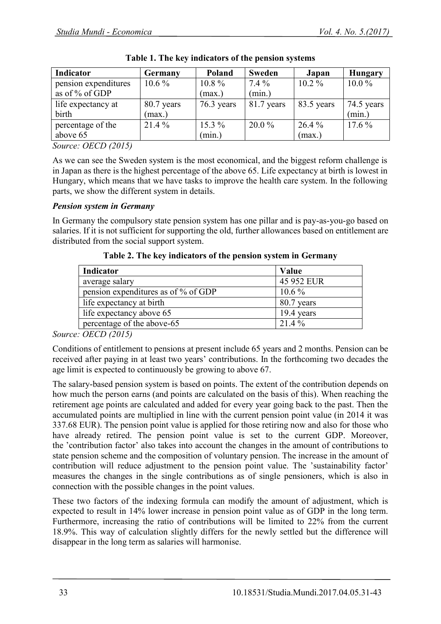| Indicator            | Germany    | <b>Poland</b> | <b>Sweden</b> | Japan      | <b>Hungary</b> |
|----------------------|------------|---------------|---------------|------------|----------------|
| pension expenditures | $10.6\%$   | $10.8\%$      | $7.4\%$       | $10.2\%$   | $10.0\%$       |
| as of % of GDP       |            | (max.)        | (min.)        |            |                |
| life expectancy at   | 80.7 years | $76.3$ years  | 81.7 years    | 83.5 years | 74.5 years     |
| birth                | (max.)     |               |               |            | (min.)         |
| percentage of the    | $21.4\%$   | $15.3\%$      | $20.0\%$      | $26.4\%$   | $17.6\%$       |
| above 65             |            | (min.)        |               | (max.)     |                |

|  | Table 1. The key indicators of the pension systems |  |  |
|--|----------------------------------------------------|--|--|
|  |                                                    |  |  |

*Source: OECD (2015)*

As we can see the Sweden system is the most economical, and the biggest reform challenge is in Japan as there is the highest percentage of the above 65. Life expectancy at birth is lowest in Hungary, which means that we have tasks to improve the health care system. In the following parts, we show the different system in details.

# *Pension system in Germany*

In Germany the compulsory state pension system has one pillar and is pay-as-you-go based on salaries. If it is not sufficient for supporting the old, further allowances based on entitlement are distributed from the social support system.

| Indicator                           | Value      |
|-------------------------------------|------------|
| average salary                      | 45 952 EUR |
| pension expenditures as of % of GDP | $10.6\%$   |
| life expectancy at birth            | 80.7 years |
| life expectancy above 65            | 19.4 years |
| percentage of the above-65          | $21.4\%$   |

**Table 2. The key indicators of the pension system in Germany**

*Source: OECD (2015)*

Conditions of entitlement to pensions at present include 65 years and 2 months. Pension can be received after paying in at least two years' contributions. In the forthcoming two decades the age limit is expected to continuously be growing to above 67.

The salary-based pension system is based on points. The extent of the contribution depends on how much the person earns (and points are calculated on the basis of this). When reaching the retirement age points are calculated and added for every year going back to the past. Then the accumulated points are multiplied in line with the current pension point value (in 2014 it was 337.68 EUR). The pension point value is applied for those retiring now and also for those who have already retired. The pension point value is set to the current GDP. Moreover, the 'contribution factor' also takes into account the changes in the amount of contributions to state pension scheme and the composition of voluntary pension. The increase in the amount of contribution will reduce adjustment to the pension point value. The 'sustainability factor' measures the changes in the single contributions as of single pensioners, which is also in connection with the possible changes in the point values.

These two factors of the indexing formula can modify the amount of adjustment, which is expected to result in 14% lower increase in pension point value as of GDP in the long term. Furthermore, increasing the ratio of contributions will be limited to 22% from the current 18.9%. This way of calculation slightly differs for the newly settled but the difference will disappear in the long term as salaries will harmonise.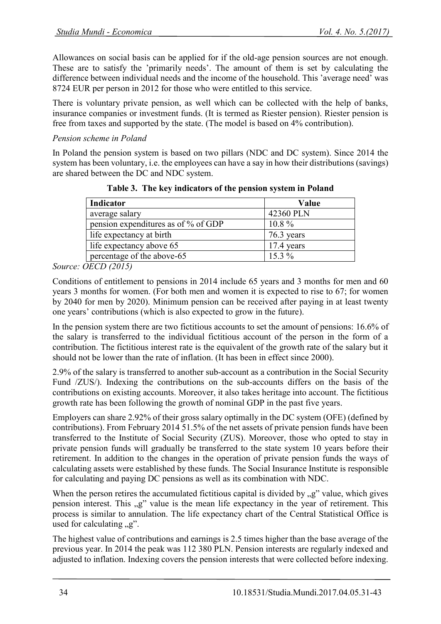Allowances on social basis can be applied for if the old-age pension sources are not enough. These are to satisfy the 'primarily needs'. The amount of them is set by calculating the difference between individual needs and the income of the household. This 'average need' was 8724 EUR per person in 2012 for those who were entitled to this service.

There is voluntary private pension, as well which can be collected with the help of banks, insurance companies or investment funds. (It is termed as Riester pension). Riester pension is free from taxes and supported by the state. (The model is based on 4% contribution).

# *Pension scheme in Poland*

In Poland the pension system is based on two pillars (NDC and DC system). Since 2014 the system has been voluntary, i.e. the employees can have a say in how their distributions (savings) are shared between the DC and NDC system.

| 42360 PLN  |
|------------|
| $10.8\%$   |
| 76.3 years |
| 17.4 years |
| $15.3\%$   |
|            |

**Table 3. The key indicators of the pension system in Poland**

*Source: OECD (2015)*

Conditions of entitlement to pensions in 2014 include 65 years and 3 months for men and 60 years 3 months for women. (For both men and women it is expected to rise to 67; for women by 2040 for men by 2020). Minimum pension can be received after paying in at least twenty one years' contributions (which is also expected to grow in the future).

In the pension system there are two fictitious accounts to set the amount of pensions: 16.6% of the salary is transferred to the individual fictitious account of the person in the form of a contribution. The fictitious interest rate is the equivalent of the growth rate of the salary but it should not be lower than the rate of inflation. (It has been in effect since 2000).

2.9% of the salary is transferred to another sub-account as a contribution in the Social Security Fund /ZUS/). Indexing the contributions on the sub-accounts differs on the basis of the contributions on existing accounts. Moreover, it also takes heritage into account. The fictitious growth rate has been following the growth of nominal GDP in the past five years.

Employers can share 2.92% of their gross salary optimally in the DC system (OFE) (defined by contributions). From February 2014 51.5% of the net assets of private pension funds have been transferred to the Institute of Social Security (ZUS). Moreover, those who opted to stay in private pension funds will gradually be transferred to the state system 10 years before their retirement. In addition to the changes in the operation of private pension funds the ways of calculating assets were established by these funds. The Social Insurance Institute is responsible for calculating and paying DC pensions as well as its combination with NDC.

When the person retires the accumulated fictitious capital is divided by  $\mathbb{R}^n$  value, which gives pension interest. This "g" value is the mean life expectancy in the year of retirement. This process is similar to annulation. The life expectancy chart of the Central Statistical Office is used for calculating  $\mathfrak{g}$ .

The highest value of contributions and earnings is 2.5 times higher than the base average of the previous year. In 2014 the peak was 112 380 PLN. Pension interests are regularly indexed and adjusted to inflation. Indexing covers the pension interests that were collected before indexing.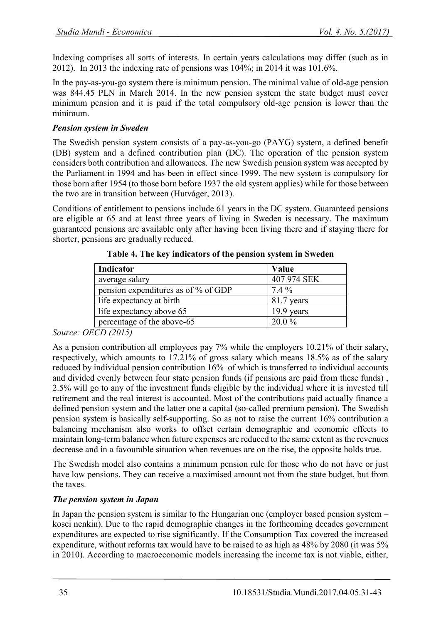Indexing comprises all sorts of interests. In certain years calculations may differ (such as in 2012). In 2013 the indexing rate of pensions was 104%; in 2014 it was 101.6%.

In the pay-as-you-go system there is minimum pension. The minimal value of old-age pension was 844.45 PLN in March 2014. In the new pension system the state budget must cover minimum pension and it is paid if the total compulsory old-age pension is lower than the minimum.

# *Pension system in Sweden*

The Swedish pension system consists of a pay-as-you-go (PAYG) system, a defined benefit (DB) system and a defined contribution plan (DC). The operation of the pension system considers both contribution and allowances. The new Swedish pension system was accepted by the Parliament in 1994 and has been in effect since 1999. The new system is compulsory for those born after 1954 (to those born before 1937 the old system applies) while for those between the two are in transition between (Hutváger, 2013).

Conditions of entitlement to pensions include 61 years in the DC system. Guaranteed pensions are eligible at 65 and at least three years of living in Sweden is necessary. The maximum guaranteed pensions are available only after having been living there and if staying there for shorter, pensions are gradually reduced.

| Indicator                           | Value       |
|-------------------------------------|-------------|
| average salary                      | 407 974 SEK |
| pension expenditures as of % of GDP | $7.4\%$     |
| life expectancy at birth            | 81.7 years  |
| life expectancy above 65            | 19.9 years  |
| percentage of the above-65          | $20.0\%$    |

**Table 4. The key indicators of the pension system in Sweden**

*Source: OECD (2015)*

As a pension contribution all employees pay 7% while the employers 10.21% of their salary, respectively, which amounts to 17.21% of gross salary which means 18.5% as of the salary reduced by individual pension contribution 16% of which is transferred to individual accounts and divided evenly between four state pension funds (if pensions are paid from these funds) , 2.5% will go to any of the investment funds eligible by the individual where it is invested till retirement and the real interest is accounted. Most of the contributions paid actually finance a defined pension system and the latter one a capital (so-called premium pension). The Swedish pension system is basically self-supporting. So as not to raise the current 16% contribution a balancing mechanism also works to offset certain demographic and economic effects to maintain long-term balance when future expenses are reduced to the same extent as the revenues decrease and in a favourable situation when revenues are on the rise, the opposite holds true.

The Swedish model also contains a minimum pension rule for those who do not have or just have low pensions. They can receive a maximised amount not from the state budget, but from the taxes.

# *The pension system in Japan*

In Japan the pension system is similar to the Hungarian one (employer based pension system – kosei nenkin). Due to the rapid demographic changes in the forthcoming decades government expenditures are expected to rise significantly. If the Consumption Tax covered the increased expenditure, without reforms tax would have to be raised to as high as 48% by 2080 (it was 5% in 2010). According to macroeconomic models increasing the income tax is not viable, either,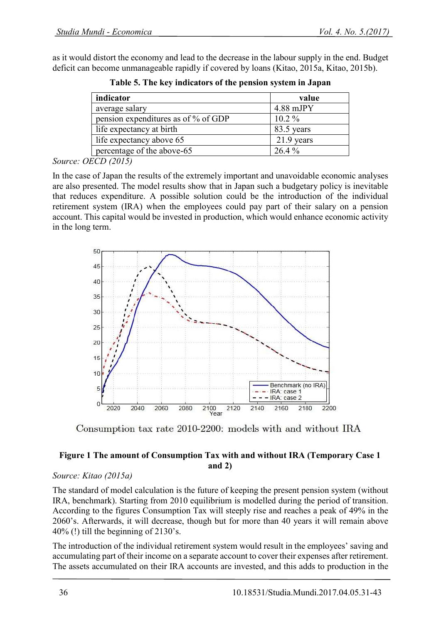as it would distort the economy and lead to the decrease in the labour supply in the end. Budget deficit can become unmanageable rapidly if covered by loans (Kitao, 2015a, Kitao, 2015b).

| indicator                           | value        |
|-------------------------------------|--------------|
| average salary                      | $4.88$ mJPY  |
| pension expenditures as of % of GDP | $10.2\%$     |
| life expectancy at birth            | 83.5 years   |
| life expectancy above 65            | $21.9$ years |
| percentage of the above-65          | $26.4\%$     |
|                                     |              |

**Table 5. The key indicators of the pension system in Japan**

#### *Source: OECD (2015)*

In the case of Japan the results of the extremely important and unavoidable economic analyses are also presented. The model results show that in Japan such a budgetary policy is inevitable that reduces expenditure. A possible solution could be the introduction of the individual retirement system (IRA) when the employees could pay part of their salary on a pension account. This capital would be invested in production, which would enhance economic activity in the long term.



Consumption tax rate 2010-2200: models with and without IRA

### **Figure 1 The amount of Consumption Tax with and without IRA (Temporary Case 1 and 2)**

# *Source: Kitao (2015a)*

The standard of model calculation is the future of keeping the present pension system (without IRA, benchmark). Starting from 2010 equilibrium is modelled during the period of transition. According to the figures Consumption Tax will steeply rise and reaches a peak of 49% in the 2060's. Afterwards, it will decrease, though but for more than 40 years it will remain above  $40\%$  (!) till the beginning of 2130's.

The introduction of the individual retirement system would result in the employees' saving and accumulating part of their income on a separate account to cover their expenses after retirement. The assets accumulated on their IRA accounts are invested, and this adds to production in the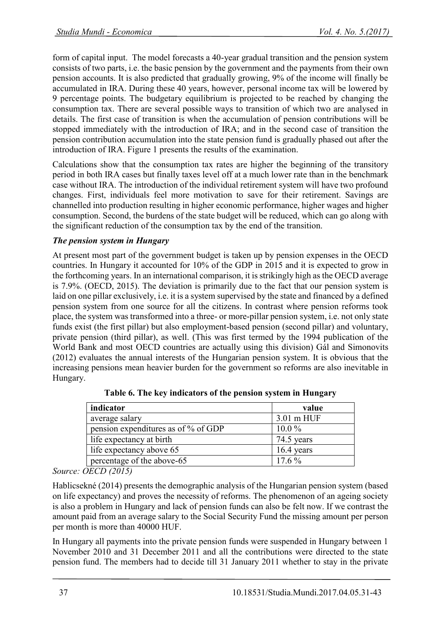form of capital input. The model forecasts a 40-year gradual transition and the pension system consists of two parts, i.e. the basic pension by the government and the payments from their own pension accounts. It is also predicted that gradually growing, 9% of the income will finally be accumulated in IRA. During these 40 years, however, personal income tax will be lowered by 9 percentage points. The budgetary equilibrium is projected to be reached by changing the consumption tax. There are several possible ways to transition of which two are analysed in details. The first case of transition is when the accumulation of pension contributions will be stopped immediately with the introduction of IRA; and in the second case of transition the pension contribution accumulation into the state pension fund is gradually phased out after the introduction of IRA. Figure 1 presents the results of the examination.

Calculations show that the consumption tax rates are higher the beginning of the transitory period in both IRA cases but finally taxes level off at a much lower rate than in the benchmark case without IRA. The introduction of the individual retirement system will have two profound changes. First, individuals feel more motivation to save for their retirement. Savings are channelled into production resulting in higher economic performance, higher wages and higher consumption. Second, the burdens of the state budget will be reduced, which can go along with the significant reduction of the consumption tax by the end of the transition.

# *The pension system in Hungary*

At present most part of the government budget is taken up by pension expenses in the OECD countries. In Hungary it accounted for 10% of the GDP in 2015 and it is expected to grow in the forthcoming years. In an international comparison, it is strikingly high as the OECD average is 7.9%. (OECD, 2015). The deviation is primarily due to the fact that our pension system is laid on one pillar exclusively, i.e. it is a system supervised by the state and financed by a defined pension system from one source for all the citizens. In contrast where pension reforms took place, the system was transformed into a three- or more-pillar pension system, i.e. not only state funds exist (the first pillar) but also employment-based pension (second pillar) and voluntary, private pension (third pillar), as well. (This was first termed by the 1994 publication of the World Bank and most OECD countries are actually using this division) Gál and Simonovits (2012) evaluates the annual interests of the Hungarian pension system. It is obvious that the increasing pensions mean heavier burden for the government so reforms are also inevitable in Hungary.

| indicator                           | value      |
|-------------------------------------|------------|
| average salary                      | 3.01 m HUF |
| pension expenditures as of % of GDP | $10.0\%$   |
| life expectancy at birth            | 74.5 years |
| life expectancy above 65            | 16.4 years |
| percentage of the above-65          | $17.6\%$   |

**Table 6. The key indicators of the pension system in Hungary**

*Source: OECD (2015)*

Hablicsekné (2014) presents the demographic analysis of the Hungarian pension system (based on life expectancy) and proves the necessity of reforms. The phenomenon of an ageing society is also a problem in Hungary and lack of pension funds can also be felt now. If we contrast the amount paid from an average salary to the Social Security Fund the missing amount per person per month is more than 40000 HUF.

In Hungary all payments into the private pension funds were suspended in Hungary between 1 November 2010 and 31 December 2011 and all the contributions were directed to the state pension fund. The members had to decide till 31 January 2011 whether to stay in the private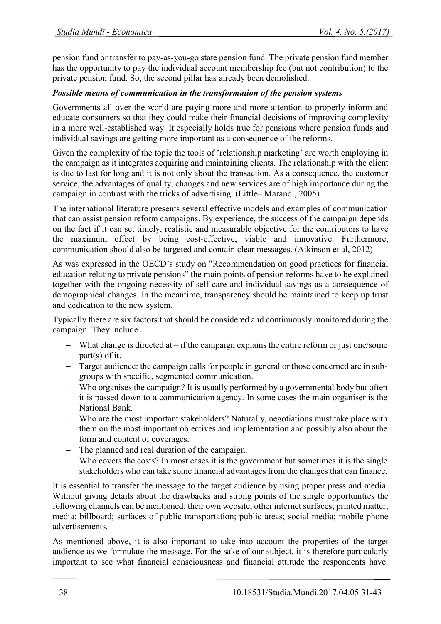pension fund or transfer to pay-as-you-go state pension fund. The private pension fund member has the opportunity to pay the individual account membership fee (but not contribution) to the private pension fund. So, the second pillar has already been demolished.

### *Possible means of communication in the transformation of the pension systems*

Governments all over the world are paying more and more attention to properly inform and educate consumers so that they could make their financial decisions of improving complexity in a more well-established way. It especially holds true for pensions where pension funds and individual savings are getting more important as a consequence of the reforms.

Given the complexity of the topic the tools of 'relationship marketing' are worth employing in the campaign as it integrates acquiring and maintaining clients. The relationship with the client is due to last for long and it is not only about the transaction. As a consequence, the customer service, the advantages of quality, changes and new services are of high importance during the campaign in contrast with the tricks of advertising. (Little– Marandi, 2005)

The international literature presents several effective models and examples of communication that can assist pension reform campaigns. By experience, the success of the campaign depends on the fact if it can set timely, realistic and measurable objective for the contributors to have the maximum effect by being cost-effective, viable and innovative. Furthermore, communication should also be targeted and contain clear messages. (Atkinson et al, 2012)

As was expressed in the OECD's study on "Recommendation on good practices for financial education relating to private pensions" the main points of pension reforms have to be explained together with the ongoing necessity of self-care and individual savings as a consequence of demographical changes. In the meantime, transparency should be maintained to keep up trust and dedication to the new system.

Typically there are six factors that should be considered and continuously monitored during the campaign. They include

- What change is directed at if the campaign explains the entire reform or just one/some part(s) of it.
- Target audience: the campaign calls for people in general or those concerned are in subgroups with specific, segmented communication.
- Who organises the campaign? It is usually performed by a governmental body but often it is passed down to a communication agency. In some cases the main organiser is the National Bank.
- Who are the most important stakeholders? Naturally, negotiations must take place with them on the most important objectives and implementation and possibly also about the form and content of coverages.
- The planned and real duration of the campaign.
- Who covers the costs? In most cases it is the government but sometimes it is the single stakeholders who can take some financial advantages from the changes that can finance.

It is essential to transfer the message to the target audience by using proper press and media. Without giving details about the drawbacks and strong points of the single opportunities the following channels can be mentioned: their own website; other internet surfaces; printed matter; media; billboard; surfaces of public transportation; public areas; social media; mobile phone advertisements.

As mentioned above, it is also important to take into account the properties of the target audience as we formulate the message. For the sake of our subject, it is therefore particularly important to see what financial consciousness and financial attitude the respondents have.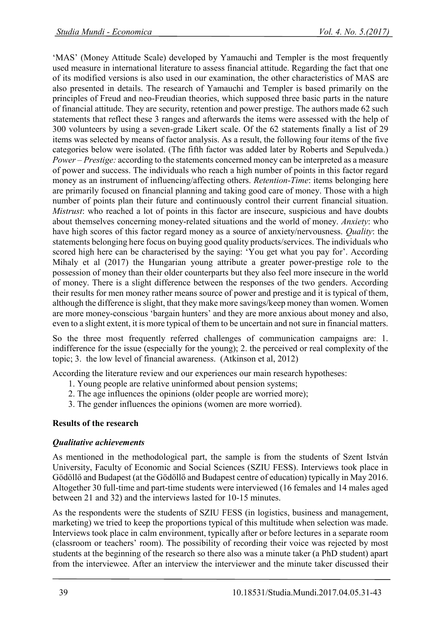'MAS' (Money Attitude Scale) developed by Yamauchi and Templer is the most frequently used measure in international literature to assess financial attitude. Regarding the fact that one of its modified versions is also used in our examination, the other characteristics of MAS are also presented in details. The research of Yamauchi and Templer is based primarily on the principles of Freud and neo-Freudian theories, which supposed three basic parts in the nature of financial attitude. They are security, retention and power prestige. The authors made 62 such statements that reflect these 3 ranges and afterwards the items were assessed with the help of 300 volunteers by using a seven-grade Likert scale. Of the 62 statements finally a list of 29 items was selected by means of factor analysis. As a result, the following four items of the five categories below were isolated. (The fifth factor was added later by Roberts and Sepulveda.) *Power – Prestige:* according to the statements concerned money can be interpreted as a measure of power and success. The individuals who reach a high number of points in this factor regard money as an instrument of influencing/affecting others. *Retention-Time*: items belonging here are primarily focused on financial planning and taking good care of money. Those with a high number of points plan their future and continuously control their current financial situation. *Mistrust*: who reached a lot of points in this factor are insecure, suspicious and have doubts about themselves concerning money-related situations and the world of money. *Anxiety*: who have high scores of this factor regard money as a source of anxiety/nervousness. *Quality*: the statements belonging here focus on buying good quality products/services. The individuals who scored high here can be characterised by the saying: 'You get what you pay for'. According Mihaly et al (2017) the Hungarian young attribute a greater power-prestige role to the possession of money than their older counterparts but they also feel more insecure in the world of money. There is a slight difference between the responses of the two genders. According their results for men money rather means source of power and prestige and it is typical of them, although the difference is slight, that they make more savings/keep money than women. Women are more money-conscious 'bargain hunters' and they are more anxious about money and also, even to a slight extent, it is more typical of them to be uncertain and not sure in financial matters.

So the three most frequently referred challenges of communication campaigns are: 1. indifference for the issue (especially for the young); 2. the perceived or real complexity of the topic; 3. the low level of financial awareness. (Atkinson et al, 2012)

According the literature review and our experiences our main research hypotheses:

- 1. Young people are relative uninformed about pension systems;
- 2. The age influences the opinions (older people are worried more);
- 3. The gender influences the opinions (women are more worried).

#### **Results of the research**

#### *Qualitative achievements*

As mentioned in the methodological part, the sample is from the students of Szent István University, Faculty of Economic and Social Sciences (SZIU FESS). Interviews took place in Gödöllő and Budapest (at the Gödöllő and Budapest centre of education) typically in May 2016. Altogether 30 full-time and part-time students were interviewed (16 females and 14 males aged between 21 and 32) and the interviews lasted for 10-15 minutes.

As the respondents were the students of SZIU FESS (in logistics, business and management, marketing) we tried to keep the proportions typical of this multitude when selection was made. Interviews took place in calm environment, typically after or before lectures in a separate room (classroom or teachers' room). The possibility of recording their voice was rejected by most students at the beginning of the research so there also was a minute taker (a PhD student) apart from the interviewee. After an interview the interviewer and the minute taker discussed their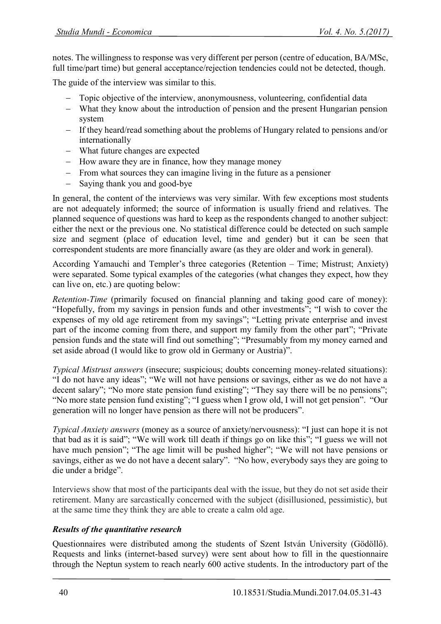notes. The willingness to response was very different per person (centre of education, BA/MSc, full time/part time) but general acceptance/rejection tendencies could not be detected, though.

The guide of the interview was similar to this.

- Topic objective of the interview, anonymousness, volunteering, confidential data
- What they know about the introduction of pension and the present Hungarian pension system
- If they heard/read something about the problems of Hungary related to pensions and/or internationally
- What future changes are expected
- $-$  How aware they are in finance, how they manage money
- From what sources they can imagine living in the future as a pensioner
- Saying thank you and good-bye

In general, the content of the interviews was very similar. With few exceptions most students are not adequately informed; the source of information is usually friend and relatives. The planned sequence of questions was hard to keep as the respondents changed to another subject: either the next or the previous one. No statistical difference could be detected on such sample size and segment (place of education level, time and gender) but it can be seen that correspondent students are more financially aware (as they are older and work in general).

According Yamauchi and Templer's three categories (Retention – Time; Mistrust; Anxiety) were separated. Some typical examples of the categories (what changes they expect, how they can live on, etc.) are quoting below:

*Retention-Time* (primarily focused on financial planning and taking good care of money): "Hopefully, from my savings in pension funds and other investments"; "I wish to cover the expenses of my old age retirement from my savings"; "Letting private enterprise and invest part of the income coming from there, and support my family from the other part"; "Private pension funds and the state will find out something"; "Presumably from my money earned and set aside abroad (I would like to grow old in Germany or Austria)".

*Typical Mistrust answers* (insecure; suspicious; doubts concerning money-related situations): "I do not have any ideas"; "We will not have pensions or savings, either as we do not have a decent salary"; "No more state pension fund existing"; "They say there will be no pensions"; "No more state pension fund existing"; "I guess when I grow old, I will not get pension". "Our generation will no longer have pension as there will not be producers".

*Typical Anxiety answers* (money as a source of anxiety/nervousness): "I just can hope it is not that bad as it is said"; "We will work till death if things go on like this"; "I guess we will not have much pension"; "The age limit will be pushed higher"; "We will not have pensions or savings, either as we do not have a decent salary". "No how, everybody says they are going to die under a bridge".

Interviews show that most of the participants deal with the issue, but they do not set aside their retirement. Many are sarcastically concerned with the subject (disillusioned, pessimistic), but at the same time they think they are able to create a calm old age.

# *Results of the quantitative research*

Questionnaires were distributed among the students of Szent István University (Gödöllő). Requests and links (internet-based survey) were sent about how to fill in the questionnaire through the Neptun system to reach nearly 600 active students. In the introductory part of the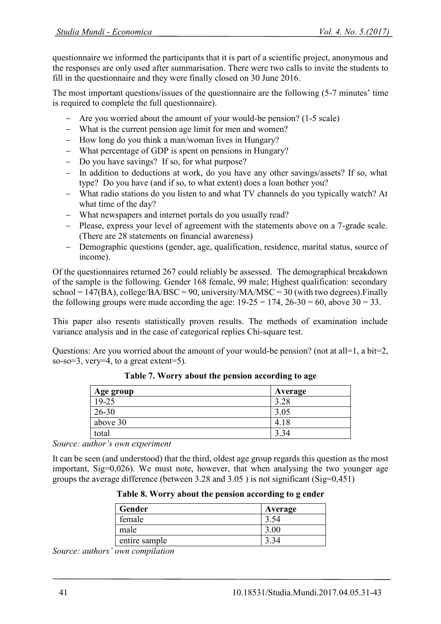questionnaire we informed the participants that it is part of a scientific project, anonymous and the responses are only used after summarisation. There were two calls to invite the students to fill in the questionnaire and they were finally closed on 30 June 2016.

The most important questions/issues of the questionnaire are the following (5-7 minutes' time is required to complete the full questionnaire).

- Are you worried about the amount of your would-be pension? (1-5 scale)
- What is the current pension age limit for men and women?
- $-$  How long do you think a man/woman lives in Hungary?
- What percentage of GDP is spent on pensions in Hungary?
- Do you have savings? If so, for what purpose?
- In addition to deductions at work, do you have any other savings/assets? If so, what type? Do you have (and if so, to what extent) does a loan bother you?
- What radio stations do you listen to and what TV channels do you typically watch? At what time of the day?
- What newspapers and internet portals do you usually read?
- Please, express your level of agreement with the statements above on a 7-grade scale. (There are 28 statements on financial awareness)
- Demographic questions (gender, age, qualification, residence, marital status, source of income).

Of the questionnaires returned 267 could reliably be assessed. The demographical breakdown of the sample is the following. Gender 168 female, 99 male; Highest qualification: secondary  $school = 147(BA)$ ,  $college/BA/BSC = 90$ , university/ $MA/MSC = 30$  (with two degrees). Finally the following groups were made according the age:  $19-25 = 174$ ,  $26-30 = 60$ , above  $30 = 33$ .

This paper also resents statistically proven results. The methods of examination include variance analysis and in the case of categorical replies Chi-square test.

Questions: Are you worried about the amount of your would-be pension? (not at all=1, a bit=2, so-so=3, very=4, to a great extent=5).

| Age group | Average |
|-----------|---------|
| 19-25     | 3.28    |
| $26 - 30$ | 3.05    |
| above 30  | 4.18    |
| total     | 3.34    |

**Table 7. Worry about the pension according to age**

*Source: author's own experiment*

It can be seen (and understood) that the third, oldest age group regards this question as the most important, Sig=0,026). We must note, however, that when analysing the two younger age groups the average difference (between 3.28 and 3.05 ) is not significant (Sig=0,451)

|  |  |  |  | Table 8. Worry about the pension according to g ender |  |  |
|--|--|--|--|-------------------------------------------------------|--|--|
|--|--|--|--|-------------------------------------------------------|--|--|

| Gender        | Average |
|---------------|---------|
| female        |         |
| male          | 3.00    |
| entire sample |         |

*Source: authors' own compilation*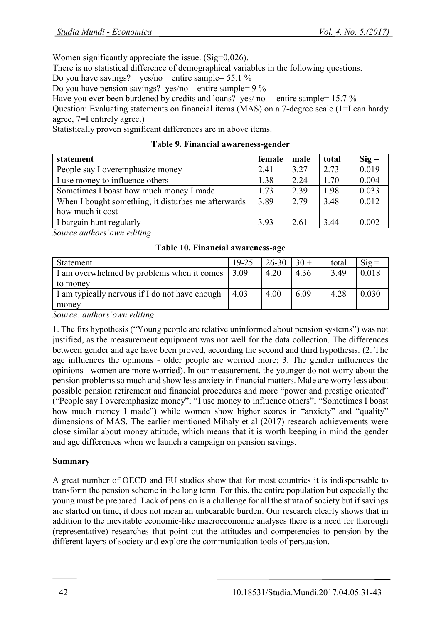Women significantly appreciate the issue. (Sig=0,026).

There is no statistical difference of demographical variables in the following questions.

Do you have savings? yes/no entire sample= 55.1 %

Do you have pension savings? yes/no entire sample= 9 %

Have you ever been burdened by credits and loans? yes/ no entire sample= 15.7 %

Question: Evaluating statements on financial items (MAS) on a 7-degree scale (1=I can hardy agree, 7=I entirely agree.)

Statistically proven significant differences are in above items.

| statement                                           |      | male | total | $\text{Sig} =$ |
|-----------------------------------------------------|------|------|-------|----------------|
| People say I overemphasize money                    |      | 3.27 | 2.73  | 0.019          |
| I use money to influence others                     | 1.38 | 2.24 | 1.70  | 0.004          |
| Sometimes I boast how much money I made             |      | 2.39 | 1.98  | 0.033          |
| When I bought something, it disturbes me afterwards |      | 2.79 | 3.48  | 0.012          |
| how much it cost                                    |      |      |       |                |
| I bargain hunt regularly                            | 3.93 | 2.61 | 3.44  | 0.002          |

*Source authors'own editing*

**Table 10. Financial awareness-age**

| Statement                                      | 19-25 | $26 - 30$ | $30 +$ | total | $\text{Sig} =$ |
|------------------------------------------------|-------|-----------|--------|-------|----------------|
| I am overwhelmed by problems when it comes     | 3.09  | 4.20      | 4.36   | 3.49  | 0.018          |
| to money                                       |       |           |        |       |                |
| I am typically nervous if I do not have enough | 4.03  | 4.00      | 6.09   | 4.28  | 0.030          |
| money                                          |       |           |        |       |                |

*Source: authors'own editing*

1. The firs hypothesis ("Young people are relative uninformed about pension systems") was not justified, as the measurement equipment was not well for the data collection. The differences between gender and age have been proved, according the second and third hypothesis. (2. The age influences the opinions - older people are worried more; 3. The gender influences the opinions - women are more worried). In our measurement, the younger do not worry about the pension problems so much and show less anxiety in financial matters. Male are worry less about possible pension retirement and financial procedures and more "power and prestige oriented" ("People say I overemphasize money"; "I use money to influence others"; "Sometimes I boast how much money I made") while women show higher scores in "anxiety" and "quality" dimensions of MAS. The earlier mentioned Mihaly et al (2017) research achievements were close similar about money attitude, which means that it is worth keeping in mind the gender and age differences when we launch a campaign on pension savings.

# **Summary**

A great number of OECD and EU studies show that for most countries it is indispensable to transform the pension scheme in the long term. For this, the entire population but especially the young must be prepared. Lack of pension is a challenge for all the strata of society but if savings are started on time, it does not mean an unbearable burden. Our research clearly shows that in addition to the inevitable economic-like macroeconomic analyses there is a need for thorough (representative) researches that point out the attitudes and competencies to pension by the different layers of society and explore the communication tools of persuasion.